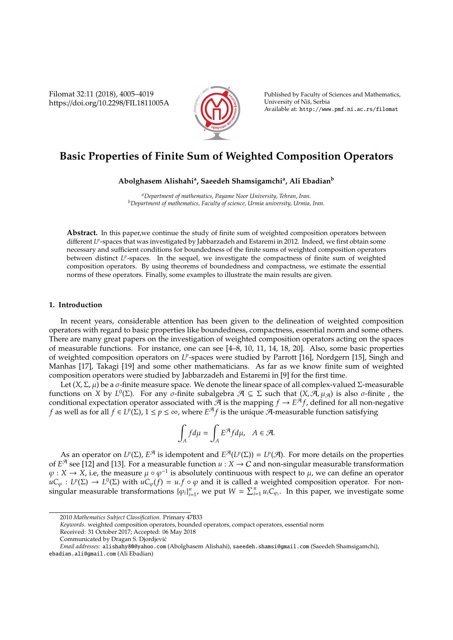Filomat 32:11 (2018), 4005–4019 https://doi.org/10.2298/FIL1811005A



Published by Faculty of Sciences and Mathematics, University of Niš, Serbia Available at: http://www.pmf.ni.ac.rs/filomat

# **Basic Properties of Finite Sum of Weighted Composition Operators**

**Abolghasem Alishahi<sup>a</sup> , Saeedeh Shamsigamchi<sup>a</sup> , Ali Ebadian<sup>b</sup>**

*<sup>a</sup>Department of mathematics, Payame Noor University, Tehran, Iran. <sup>b</sup>Department of mathematics, Faculty of science, Urmia university, Urmia, Iran.*

**Abstract.** In this paper,we continue the study of finite sum of weighted composition operators between different L<sup>p</sup>-spaces that was investigated by Jabbarzadeh and Estaremi in 2012. Indeed, we first obtain some necessary and sufficient conditions for boundedness of the finite sums of weighted composition operators between distinct L<sup>p</sup>-spaces. In the sequel, we investigate the compactness of finite sum of weighted composition operators. By using theorems of boundedness and compactness, we estimate the essential norms of these operators. Finally, some examples to illustrate the main results are given.

# **1. Introduction**

In recent years, considerable attention has been given to the delineation of weighted composition operators with regard to basic properties like boundedness, compactness, essential norm and some others. There are many great papers on the investigation of weighted composition operators acting on the spaces of measurable functions. For instance, one can see [4–8, 10, 11, 14, 18, 20]. Also, some basic properties of weighted composition operators on L<sup>p</sup>-spaces were studied by Parrott [16], Nordgern [15], Singh and Manhas [17], Takagi [19] and some other mathematicians. As far as we know finite sum of weighted composition operators were studied by Jabbarzadeh and Estaremi in [9] for the first time.

Let (*X*, Σ,  $\mu$ ) be a *σ*-finite measure space. We denote the linear space of all complex-valued Σ-measurable functions on *X* by *L*<sup>0</sup>( $\Sigma$ ). For any  $\sigma$ -finite subalgebra  $\mathcal{A} \subseteq \Sigma$  such that  $(X, \mathcal{A}, \mu_{\mathcal{A}})$  is also  $\sigma$ -finite, the conditional expectation operator associated with  $\tilde{\mathcal{A}}$  is the mapping  $f \to E^{\tilde{\mathcal{A}}}f$ , defined for all non-negative *f* as well as for all  $f \in L^p(\Sigma)$ ,  $1 \le p \le ∞$ , where  $E^{\mathcal{A}}f$  is the unique  $\widetilde{\mathcal{A}}$ -measurable function satisfying

$$
\int_A f d\mu = \int_A E^{\mathcal{A}} f d\mu, \quad A \in \mathcal{A}.
$$

As an operator on  $L^p(\Sigma)$ ,  $E^{\mathcal{A}}$  is idempotent and  $E^{\mathcal{A}}(L^p(\Sigma)) = L^p(\mathcal{A})$ . For more details on the properties of  $E^{\mathcal{A}}$  see [12] and [13]. For a measurable function  $u : X \to C$  and non-singular measurable transformation  $\varphi: X \to X$ , i.e, the measure  $\mu \circ \varphi^{-1}$  is absolutely continuous with respect to  $\mu$ , we can define an operator  $\mu C_{\varphi}: L^p(\Sigma) \to L^0(\Sigma)$  with  $\mu C_{\varphi}(f) = u.f \circ \varphi$  and it is called a weighted composition operator. For nonsingular measurable transformations  ${\varphi_i}_{i=1}^n$ , we put  $W = \sum_{i=1}^n u_i \widetilde{C}_{\varphi_i}$ . In this paper, we investigate some

*Keywords*. weighted composition operators, bounded operators, compact operators, essential norm

<sup>2010</sup> *Mathematics Subject Classification*. Primary 47B33

Received: 31 October 2017; Accepted: 06 May 2018

Communicated by Dragan S. Djordjevic´

*Email addresses:* alishahy80@yahoo.com (Abolghasem Alishahi), saeedeh.shamsi@gmail.com (Saeedeh Shamsigamchi), ebadian.ali@gmail.com (Ali Ebadian)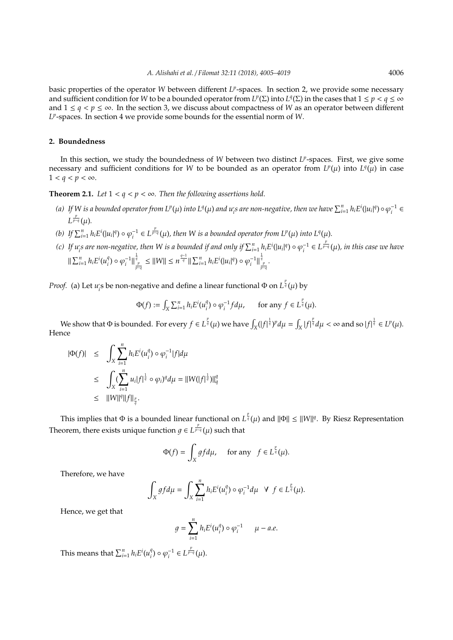basic properties of the operator *W* between different *LP*-spaces. In section 2, we provide some necessary and sufficient condition for *W* to be a bounded operator from  $L^p(\Sigma)$  into  $L^q(\Sigma)$  in the cases that  $1 \le p < q \le \infty$ and  $1 \leq q < p \leq \infty$ . In the section 3, we discuss about compactness of *W* as an operator between different  $L^p$ -spaces. In section 4 we provide some bounds for the essential norm of *W*.

# **2. Boundedness**

In this section, we study the boundedness of *W* between two distinct *LP*-spaces. First, we give some necessary and sufficient conditions for *W* to be bounded as an operator from  $L^p(\mu)$  into  $L^q(\mu)$  in case  $1 < q < p < \infty$ .

**Theorem 2.1.** *Let*  $1 < q < p < \infty$ *. Then the following assertions hold.* 

- (a) If W is a bounded operator from  $L^p(\mu)$  into  $L^q(\mu)$  and  $u_i$ s are non-negative, then we have  $\sum_{i=1}^n h_i E^i(|u_i|^q) \circ \varphi_i^{-1} \in$ *L p <sup>p</sup>*−*<sup>q</sup>* (µ)*.*
- (b) If  $\sum_{i=1}^n h_i E^i(|u_i|^q) \circ \varphi_i^{-1} \in L^{\frac{p}{p-q}}(\mu)$ , then W is a bounded operator from  $L^p(\mu)$  into  $L^q(\mu)$ .
- (c) If  $u_i$ s are non-negative, then W is a bounded if and only if  $\sum_{i=1}^n h_i E^i(|u_i|^q) \circ \varphi_i^{-1} \in L^{\frac{p}{p-q}}(\mu)$ , in this case we have  $\sum_{i=1}^n h_i E^i(u_i^q)$  $\mathbb{P}_i^q$ )  $\circ \varphi_i^{-1} \|\frac{\frac{1}{q}}{\frac{p}{p-q}} \leq ||W|| \leq n^{\frac{q-1}{q}} \|\sum_{i=1}^n h_i E^i(|u_i|^q) \circ \varphi_i^{-1} \|\frac{\frac{1}{q}}{\frac{p}{p-q}}.$

*Proof.* (a) Let *u* ,  $\tilde{f}_i$ s be non-negative and define a linear functional Φ on  $L^{\frac{p}{q}}(\mu)$  by

$$
\Phi(f) := \int_X \sum_{i=1}^n h_i E^i(u_i^q) \circ \varphi_i^{-1} f d\mu, \quad \text{for any } f \in L^{\frac{p}{q}}(\mu).
$$

We show that  $\Phi$  is bounded. For every  $f\in L^{\frac{p}{q}}(\mu)$  we have  $\int_X(|f|^{\frac{1}{q}})^p d\mu = \int_X |f|^{\frac{p}{q}} d\mu < \infty$  and so  $|f|^{\frac{1}{q}} \in L^p(\mu)$ . Hence

$$
|\Phi(f)| \leq \int_{X} \sum_{i=1}^{n} h_{i} E^{i}(u_{i}^{q}) \circ \varphi_{i}^{-1} |f| d\mu
$$
  
\n
$$
\leq \int_{X} (\sum_{i=1}^{n} u_{i} |f|_{q}^{\frac{1}{q}} \circ \varphi_{i})^{q} d\mu = ||W(|f|_{q}^{\frac{1}{q}})||_{q}^{q}
$$
  
\n
$$
\leq ||W||^{q} ||f||_{q}^{p}.
$$

This implies that  $\Phi$  is a bounded linear functional on  $L^{\frac{p}{q}}(\mu)$  and  $\|\Phi\| \leq \|W\|^q$ . By Riesz Representation Theorem, there exists unique function  $g \in L^{\frac{p}{p-q}}(\mu)$  such that

$$
\Phi(f) = \int_X gf d\mu, \quad \text{ for any } f \in L^{\frac{p}{q}}(\mu).
$$

Therefore, we have

$$
\int_X gfd\mu = \int_X \sum_{i=1}^n h_i E^i(u_i^q) \circ \varphi_i^{-1} d\mu \ \ \forall \ f \in L^{\frac{p}{q}}(\mu).
$$

Hence, we get that

$$
g = \sum_{i=1}^n h_i E^i(u_i^q) \circ \varphi_i^{-1} \qquad \mu-a.e.
$$

This means that  $\sum_{i=1}^{n} h_i E^i(u_i^q)$  $\varphi_i^q$ ) ◦  $\varphi_i^{-1}$  ∈  $L^{\frac{p}{p-q}}(\mu)$ .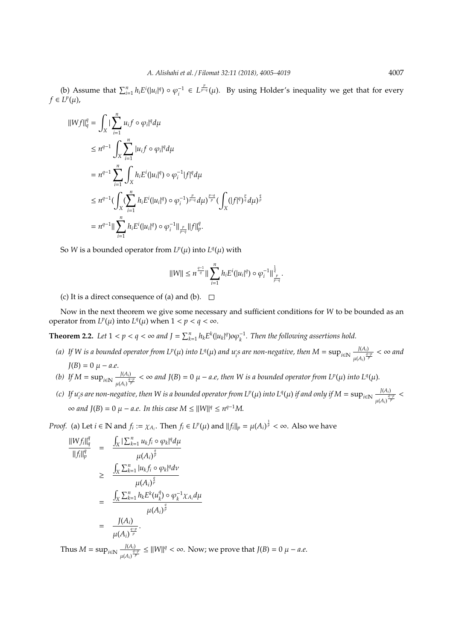(b) Assume that  $\sum_{i=1}^{n} h_i E^i(|u_i|^q) \circ \varphi_i^{-1} \in L^{\frac{p}{p-q}}(\mu)$ . By using Holder's inequality we get that for every  $f \in L^p(\mu)$ ,

$$
\|Wf\|_{q}^{q} = \int_{X} |\sum_{i=1}^{n} u_{i}f \circ \varphi_{i}|^{q} d\mu
$$
  
\n
$$
\leq n^{q-1} \int_{X} \sum_{i=1}^{n} |u_{i}f \circ \varphi_{i}|^{q} d\mu
$$
  
\n
$$
= n^{q-1} \sum_{i=1}^{n} \int_{X} h_{i} E^{i}(|u_{i}|^{q}) \circ \varphi_{i}^{-1} |f|^{q} d\mu
$$
  
\n
$$
\leq n^{q-1} (\int_{X} (\sum_{i=1}^{n} h_{i} E^{i}(|u_{i}|^{q}) \circ \varphi_{i}^{-1})^{\frac{p}{p-q}} d\mu)^{\frac{p-q}{p}} (\int_{X} (|f|^{q})^{\frac{p}{q}} d\mu)^{\frac{q}{p}}
$$
  
\n
$$
= n^{q-1} \|\sum_{i=1}^{n} h_{i} E^{i}(|u_{i}|^{q}) \circ \varphi_{i}^{-1} \|\frac{p}{p-q} \|f\|_{p}^{q}.
$$

So *W* is a bounded operator from  $L^p(\mu)$  into  $L^q(\mu)$  with

$$
||W|| \leq n^{\frac{q-1}{q}} || \sum_{i=1}^n h_i E^i(|u_i|^q) \circ \varphi_i^{-1} ||_{\frac{p}{p-q}}^{\frac{1}{q}}.
$$

(c) It is a direct consequence of (a) and (b).  $\square$ 

Now in the next theorem we give some necessary and sufficient conditions for *W* to be bounded as an operator from  $L^p(\mu)$  into  $L^q(\mu)$  when  $1 < p < q < \infty$ .

**Theorem 2.2.** Let  $1 < p < q < \infty$  and  $J = \sum_{k=1}^{n} h_k E^k(|u_k|^q) o \varphi_k^{-1}$ . Then the following assertions hold.

- *(a)* If W is a bounded operator from  $L^p(\mu)$  into  $L^q(\mu)$  and  $u_i$ s are non-negative, then  $M = \sup_{i \in \mathbb{N}} \frac{J(A_i)}{u_i A_i}$  $\frac{J(A_i)}{\mu(A_i)^{\frac{q-p}{p}}}$  < ∞ and  $J(B) = 0 \mu - a.e.$
- *(b) If M* = sup<sub>*i*∈N</sub>  $\frac{J(A_i)}{I(A_i)}$  $\frac{J(A_i)}{J^2}$  < ∞ and J(B) = 0  $\mu$  – *a.e, then W is a bounded operator from L<sup><i>p*</sup>( $\mu$ ) into L<sup>*q*</sup>( $\mu$ ).
- *(c)* If  $u_i$ s are non-negative, then W is a bounded operator from L<sup>p</sup>(µ) into L<sup>q</sup>(µ) if and only if  $M = \sup_{i \in \mathbb{N}} \frac{J(A_i)}{\frac{J(A_i)}{2}}$  $\frac{J(A_i)}{\mu(A_i)^{\frac{q-p}{p}}}$  $\infty$  and  $J(B) = 0$   $\mu$  – *a.e.* In this case  $M \leq ||W||^q \leq n^{q-1}M$ .

*Proof.* (a) Let  $i \in \mathbb{N}$  and  $f_i := \chi_{A_i}$ . Then  $f_i \in L^p(\mu)$  and  $||f_i||_p = \mu(A_i)^{\frac{1}{p}} < \infty$ . Also we have

$$
\frac{\|Wf_i\|_q^q}{\|f_i\|_p^q} = \frac{\int_X |\sum_{k=1}^n u_k f_i \circ \varphi_k|^q d\mu}{\mu(A_i)^{\frac{q}{p}}}
$$
\n
$$
\geq \frac{\int_X \sum_{k=1}^n |u_k f_i \circ \varphi_k|^q d\nu}{\mu(A_i)^{\frac{q}{p}}}
$$
\n
$$
= \frac{\int_X \sum_{k=1}^n h_k E^k(u_k^q) \circ \varphi_k^{-1} \chi_{A_i} d\mu}{\mu(A_i)^{\frac{q}{p}}}
$$
\n
$$
= \frac{J(A_i)}{\mu(A_i)^{\frac{q-p}{p}}}.
$$

Thus  $M = \sup_{i \in \mathbb{N}} \frac{J(A_i)}{A \sqrt{\frac{a_i^2}{A_i}}}$  $\frac{J(A_i)}{f^{\mu(A_i)}$   $\frac{q-p}{p}}$  ≤  $||W||^q < \infty$ . Now; we prove that  $J(B) = 0$   $\mu - a.e$ .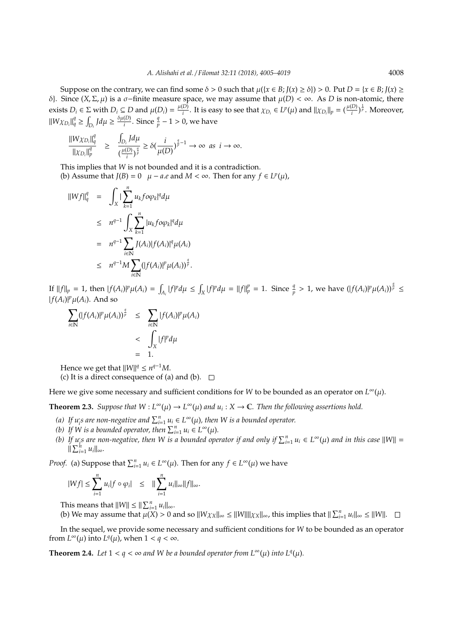Suppose on the contrary, we can find some  $\delta > 0$  such that  $\mu({x \in B}$ ;  $J(x) \ge \delta) > 0$ . Put  $D = {x \in B}$ ;  $J(x) \ge$ δ}. Since  $(X, \Sigma, \mu)$  is a σ−finite measure space, we may assume that  $\mu$ (*D*) < ∞. As *D* is non-atomic, there exists  $D_i \in \Sigma$  with  $D_i \subseteq D$  and  $\mu(D_i) = \frac{\mu(D_i)}{i}$ *i*<sup>*D*</sup>. It is easy to see that  $\chi_{D_i} \in L^p(\mu)$  and  $\|\chi_{D_i}\|_p = (\frac{\mu(D)}{i})$  $\frac{(D)}{i}$ )<sup> $\frac{1}{p}$ </sup>. Moreover,  $\|W\chi_{D_i}\|_q^q \ge \int_{D_i} J d\mu \ge \frac{\delta \mu(D)}{i}$  $\frac{(D)}{i}$ . Since  $\frac{q}{p}$  − 1 > 0, we have

$$
\frac{\|W\chi_{D_i}\|_q^q}{\|\chi_{D_i}\|_p^q} \geq \frac{\int_{D_i} J d\mu}{\left(\frac{\mu(D)}{i}\right)^{\frac{q}{p}}} \geq \delta\left(\frac{i}{\mu(D)}\right)^{\frac{q}{p}-1} \to \infty \text{ as } i \to \infty.
$$

This implies that *W* is not bounded and it is a contradiction. (b) Assume that  $J(B) = 0$   $\mu - a.e$  and  $M < \infty$ . Then for any  $f \in L^p(\mu)$ ,

$$
\|Wf\|_{q}^{q} = \int_{X} \left| \sum_{k=1}^{n} u_{k} f o \varphi_{k} |^{q} d\mu \right|
$$
  
\n
$$
\leq n^{q-1} \int_{X} \sum_{k=1}^{n} |u_{k} f o \varphi_{k} |^{q} d\mu
$$
  
\n
$$
= n^{q-1} \sum_{i \in \mathbb{N}} J(A_{i}) |f(A_{i})|^{q} \mu(A_{i})
$$
  
\n
$$
\leq n^{q-1} M \sum_{i \in \mathbb{N}} (|f(A_{i})|^{p} \mu(A_{i}))^{\frac{q}{p}}.
$$

If  $||f||_p = 1$ , then  $|f(A_i)|^p \mu(A_i) = \int_{A_i} |f|^p d\mu \le \int_X |f|^p d\mu = ||f||_p^p = 1$ . Since  $\frac{q}{p} > 1$ , we have  $(|f(A_i)|^p \mu(A_i))^{\frac{q}{p}} \le$  $|f(A_i)|^p \mu(A_i)$ . And so

$$
\sum_{i \in \mathbb{N}} (|f(A_i)|^p \mu(A_i))^{\frac{q}{p}} \leq \sum_{i \in \mathbb{N}} |f(A_i)|^p \mu(A_i)
$$
  
< 
$$
< \int_X |f|^p d\mu
$$
  

$$
= 1.
$$

Hence we get that  $||W||^q \leq n^{q-1}M$ .

(c) It is a direct consequence of (a) and (b).  $\Box$ 

Here we give some necessary and sufficient conditions for *W* to be bounded as an operator on  $L^{\infty}(\mu)$ .

**Theorem 2.3.** *Suppose that*  $W: L^{\infty}(\mu) \to L^{\infty}(\mu)$  *and*  $u_i: X \to \mathbb{C}$ *. Then the following assertions hold.* 

- (a) If  $u_i$  *s* are non-negative and  $\sum_{i=1}^n u_i \in L^\infty(\mu)$ , then W is a bounded operator.
- (b) If W is a bounded operator, then  $\sum_{i=1}^{n} u_i \in L^{\infty}(\mu)$ .
- *(b)* If  $u_i$  are non-negative, then W is a bounded operator if and only if  $\sum_{i=1}^n u_i \in L^\infty(\mu)$  and in this case  $||W|| =$  $\|\sum_{i=1}^h u_i\|_{\infty}$ .

*Proof.* (a) Suppose that  $\sum_{i=1}^{n} u_i \in L^{\infty}(\mu)$ . Then for any  $f \in L^{\infty}(\mu)$  we have

$$
|Wf| \leq \sum_{i=1}^n u_i |f \circ \varphi_i| \leq ||\sum_{i=1}^n u_i||_{\infty} ||f||_{\infty}.
$$

This means that  $||W|| \le ||\sum_{i=1}^n u_i||_{\infty}$ .

(b) We may assume that  $\mu(X) > 0$  and so  $||W\chi_X||_{\infty} \le ||W|| ||\chi_X||_{\infty}$ , this implies that  $||\sum_{i=1}^n u_i||_{\infty} \le ||W||$ .

In the sequel, we provide some necessary and sufficient conditions for *W* to be bounded as an operator from  $L^{\infty}(\mu)$  into  $L^{q}(\mu)$ , when  $1 < q < \infty$ .

**Theorem 2.4.** *Let*  $1 < q < \infty$  *and W be a bounded operator from*  $L^{\infty}(\mu)$  *into*  $L^{q}(\mu)$ *.*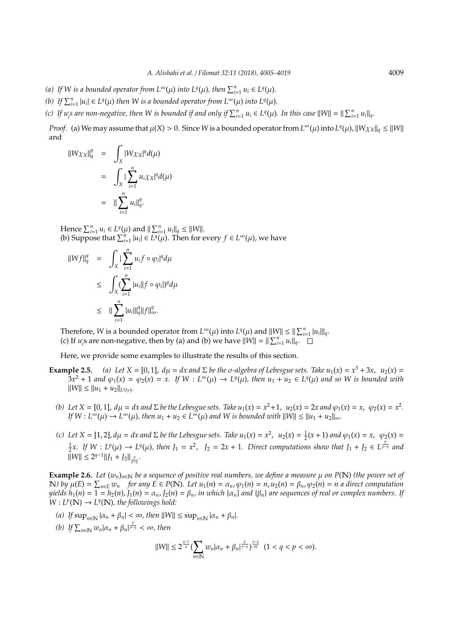- *(a)* If W is a bounded operator from  $L^{\infty}(\mu)$  into  $L^{q}(\mu)$ , then  $\sum_{i=1}^{n} u_i \in L^{q}(\mu)$ .
- *(b)* If  $\sum_{i=1}^{n} |u_i| \in L^q(\mu)$  then W is a bounded operator from  $L^{\infty}(\mu)$  into  $L^q(\mu)$ .
- (c) If  $u_i$ s are non-negative, then W is bounded if and only if  $\sum_{i=1}^n u_i \in L^q(\mu)$ . In this case  $||W|| = ||\sum_{i=1}^n u_i||_q$ .

*Proof.* (a) We may assume that  $\mu(X) > 0$ . Since *W* is a bounded operator from  $L^{\infty}(\mu)$  into  $L^{q}(\mu)$ ,  $||W\chi_X||_q \le ||W||$ and

$$
\begin{aligned} \|\mathbf{W}\chi_{\mathbf{X}}\|_{q}^{q} &= \int_{\mathbf{X}} |\mathbf{W}\chi_{\mathbf{X}}|^{q} d(\mu) \\ &= \int_{\mathbf{X}} |\sum_{i=1}^{n} u_{i}\chi_{\mathbf{X}}|^{q} d(\mu) \\ &= \|\sum_{i=1}^{n} u_{i}\|_{q}^{q} .\end{aligned}
$$

Hence  $\sum_{i=1}^{n} u_i \in L^q(\mu)$  and  $\|\sum_{i=1}^{n} u_i\|_q \leq \|W\|$ . (b) Suppose that  $\sum_{i=1}^{n} |u_i| \in L^q(\mu)$ . Then for every  $f \in L^{\infty}(\mu)$ , we have

$$
\begin{array}{rcl} \|\boldsymbol{W}f\|_q^q & = & \displaystyle\int_{\boldsymbol{X}} |\sum_{i=1}^n u_i f \circ \varphi_i|^q d\mu \\ & \leq & \displaystyle\int_{\boldsymbol{X}} (\sum_{i=1}^n |u_i| |f \circ \varphi_i|)^q d\mu \\ & \leq & \displaystyle\|\sum_{i=1}^n |u_i| \|\boldsymbol{u}_i\| \|f\|_\infty^q. \end{array}
$$

Therefore, *W* is a bounded operator from  $L^{\infty}(\mu)$  into  $L^{q}(\mu)$  and  $||W|| \leq ||\sum_{i=1}^{n} |u_i||_q$ . (c) If  $u_i$ *i*<sub>s</sub> are non-negative, then by (a) and (b) we have  $||W|| = ||\sum_{i=1}^{n} u_i||_q$ .

Here, we provide some examples to illustrate the results of this section.

- **Example 2.5.** *(a)* Let  $X = [0, 1]$ ,  $d\mu = dx$  and  $\Sigma$  be the  $\sigma$ -algebra of Lebesgue sets. Take  $u_1(x) = x^3 + 3x$ ,  $u_2(x) =$  $3x^2 + 1$  and  $\varphi_1(x) = \varphi_2(x) = x$ . If  $W : L^{\infty}(\mu) \to L^q(\mu)$ , then  $u_1 + u_2 \in L^q(\mu)$  and so W is bounded with  $||W|| \le ||u_1 + u_2||_{L^q(v)}$ .
	- *(b)* Let  $X = [0, 1]$ ,  $d\mu = dx$  and  $\Sigma$  be the Lebesgue sets. Take  $u_1(x) = x^2 + 1$ ,  $u_2(x) = 2x$  and  $\varphi_1(x) = x$ ,  $\varphi_2(x) = x^2$ .  $If W : L^{\infty}(\mu) \to L^{\infty}(\mu)$ , then  $u_1 + u_2 \in L^{\infty}(\mu)$  and W is bounded with  $||W|| \leq ||u_1 + u_2||_{\infty}$ .
	- *(c)* Let  $X = [1, 2]$ ,  $d\mu = dx$  and  $\Sigma$  be the Lebesgue sets. Take  $u_1(x) = x^2$ ,  $u_2(x) = \frac{1}{2}(x+1)$  and  $φ_1(x) = x$ ,  $φ_2(x) =$  $\frac{1}{2}x$ . If  $W: L^p(\mu) \to L^q(\mu)$ , then  $J_1 = x^2$ ,  $J_2 = 2x + 1$ . Direct computations show that  $J_1 + J_2 \in L^{\frac{p}{p-q}}$  and  $\|\overline{W}\| \leq 2^{q-1} \|J_1 + J_2\|_{\frac{p}{p-q}}.$

**Example 2.6.** *Let*  $(w_n)_{n \in \mathbb{N}}$  *be a sequence of positive real numbers, we define a measure*  $\mu$  *on P(N) (the power set of* N) by  $\mu(E) = \sum_{n \in E} w_n$  for any  $E \in P(\mathbb{N})$ . Let  $u_1(n) = \alpha_n$ ,  $\varphi_1(n) = n$ ,  $u_2(n) = \beta_n$ ,  $\varphi_2(n) = n$  a direct computation *yields*  $h_1(n) = 1 = h_2(n)$ ,  $J_1(n) = \alpha_n$ ,  $J_2(n) = \beta_n$ , in which  $\{\alpha_n\}$  and  $\{\beta_n\}$  are sequences of real or complex numbers. If  $W: L^p(\mathbb{N}) \to L^q(\mathbb{N})$ , the followings hold:

- *(a)*  $If \sup_{n \in \mathbb{N}} |\alpha_n + \beta_n| < \infty$ *, then*  $||W|| \leq \sup_{n \in \mathbb{N}} |\alpha_n + \beta_n|$ *.*
- *(b)* If  $\sum_{n \in \mathbb{N}} w_n |\alpha_n + \beta_n|^{\frac{p}{p-q}} < \infty$ , then

$$
||W|| \leq 2^{\frac{q-1}{q}} \left( \sum_{n \in \mathbb{N}} w_n |\alpha_n + \beta_n|^{p \over p-q} \right)^{\frac{p-q}{pq}} (1 < q < p < \infty).
$$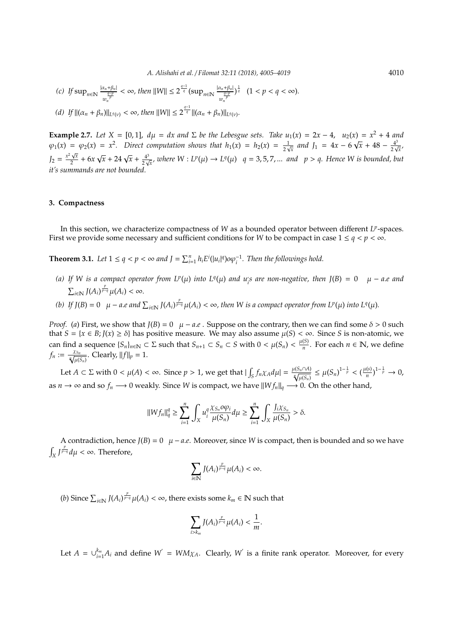(c) If 
$$
\sup_{n \in \mathbb{N}} \frac{|a_n + \beta_n|}{\frac{q-p}{w_n^p}} < \infty
$$
, then  $||W|| \leq 2^{\frac{q-1}{q}} (\sup_{n \in \mathbb{N}} \frac{|a_n + \beta_n|}{\frac{q-p}{w_n^p}})^{\frac{1}{q}}$   $(1 < p < q < \infty)$ .

\n(d) If  $||(\alpha_n + \beta_n)||_{L^q(v)} < \infty$ , then  $||W|| \leq 2^{\frac{q-1}{q}} ||(\alpha_n + \beta_n)||_{L^q(v)}$ .

**Example 2.7.** *Let*  $X = [0, 1]$ ,  $d\mu = dx$  and  $\Sigma$  *be the Lebesgue sets. Take*  $u_1(x) = 2x - 4$ ,  $u_2(x) = x^2 + 4$  and  $\varphi_1(x) = \varphi_2(x) = x^2$ . Direct computation shows that  $h_1(x) = h_2(x) = \frac{1}{2x}$  $\frac{1}{2\sqrt{x}}$  and  $J_1 = 4x - 6\sqrt{x} + 48 - \frac{4^3}{2\sqrt{x}}$  $=\varphi_2(x) = x^2$ . Direct computation shows that  $h_1(x) = h_2(x) = \frac{1}{2\sqrt{x}}$  and  $J_1 = 4x - 6\sqrt{x} + 48 - \frac{4^3}{2\sqrt{x}}$  $J_2 = \frac{x^2 \sqrt{x}}{2}$  $\frac{\sqrt{x}}{2} + 6x$  $\sqrt{x} + 24\sqrt{x} + \frac{4^3}{2x^2}$  $\frac{4^3}{2\sqrt{x}}$ , where  $W: L^p(\mu) \to L^q(\mu)$   $q = 3, 5, 7, ...$  and  $p > q$ . Hence W is bounded, but *it's summands are not bounded.*

## **3. Compactness**

In this section, we characterize compactness of *W* as a bounded operator between different *LP*-spaces. First we provide some necessary and sufficient conditions for *W* to be compact in case  $1 \le q < p < \infty$ .

**Theorem 3.1.** Let  $1 \leq q < p < \infty$  and  $J = \sum_{i=1}^{n} h_i E^i(|u_i|^q) o \varphi_i^{-1}$ . Then the followings hold.

- *(a)* If W is a compact operator from  $L^p(\mu)$  into  $L^q(\mu)$  and  $u_i$  are non-negative, then  $J(B) = 0$   $\mu a.e$  and  $\sum_{i\in\mathbb{N}}$   $J(A_i)^{\frac{p}{p-q}}\mu(A_i)<\infty$ .
- (b) If  $J(B) = 0$   $\mu a.e$  and  $\sum_{i \in \mathbb{N}} J(A_i)^{\frac{p}{p-q}} \mu(A_i) < \infty$ , then W is a compact operator from  $L^p(\mu)$  into  $L^q(\mu)$ .

*Proof.* (*a*) First, we show that  $J(B) = 0$   $\mu - a.e$ . Suppose on the contrary, then we can find some  $\delta > 0$  such that  $S = \{x \in B; J(x) \ge \delta\}$  has positive measure. We may also assume  $\mu(S) < \infty$ . Since *S* is non-atomic, we can find a sequence  $\{S_n\}_{n\in\mathbb{N}}\subset\Sigma$  such that  $S_{n+1}\subset S_n\subset S$  with  $0<\mu(S_n)<\frac{\mu(S)}{n}$  $\frac{(S)}{n}$ . For each *n* ∈ **N**, we define  $f_n := \frac{\chi_{S_n}}{\sqrt[n]{\mu(S_n)}}$ . Clearly,  $||f||_p = 1$ .

Let  $A \subset \Sigma$  with  $0 < \mu(A) < \infty$ . Since  $p > 1$ , we get that  $|\int_S f_n \chi_A d\mu| = \frac{\mu(S_n \cap A)}{\sqrt[n]{\mu(S_n)}} \leq \mu(S_n)^{1-\frac{1}{p}} < (\frac{\mu(s)}{n})^{1-\frac{1}{p}}$  $\frac{n(s)}{n}$ <sup>1- $\frac{1}{p}$ </sup> → 0, as *n* → ∞ and so  $f_n \to 0$  weakly. Since *W* is compact, we have  $||Wf_n||_q \to 0$ . On the other hand,

$$
\|Wf_n\|_q^q \ge \sum_{i=1}^n \int_X u_i^q \frac{\chi_{S_n} o \varphi_i}{\mu(S_n)} d\mu \ge \sum_{i=1}^n \int_X \frac{J_i \chi_{S_n}}{\mu(S_n)} > \delta.
$$

A contradiction, hence  $J(B) = 0$   $\mu - a.e.$  Moreover, since *W* is compact, then is bounded and so we have  $\int_X \int_{\frac{p}{q-q}}^{\frac{p}{q-q}} d\mu$  < ∞. Therefore,

$$
\sum_{i\in\mathbb{N}}J(A_i)^{\frac{p}{p-q}}\mu(A_i)<\infty.
$$

(*b*) Since  $\sum_{i\in\mathbb{N}}$  *J*( $A_i$ )<sup> $\frac{p}{p-q}\mu(A_i) < ∞$ , there exists some  $k_m ∈ \mathbb{N}$  such that</sup>

$$
\sum_{i>k_m}J(A_i)^{\frac{p}{p-q}}\mu(A_i)<\frac{1}{m}.
$$

Let  $A = \bigcup_{i=1}^{k_m} A_i$  and define  $W' = WM\chi_A$ . Clearly,  $W'$  is a finite rank operator. Moreover, for every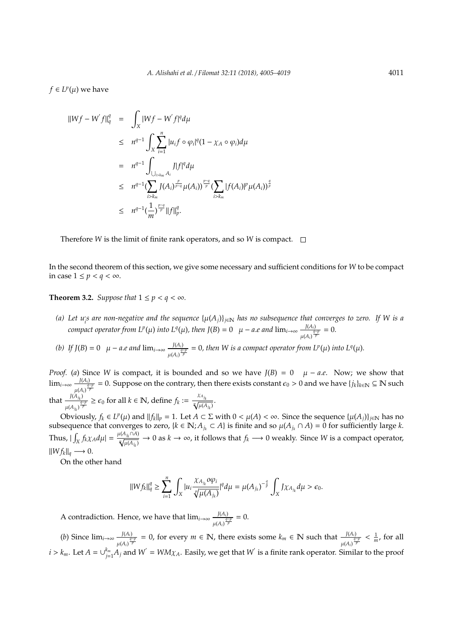$f ∈ L<sup>p</sup>(μ)$  we have

$$
\|Wf - W'f\|_{q}^{q} = \int_{X} |Wf - W'f|^{q} d\mu
$$
  
\n
$$
\leq n^{q-1} \int_{X} \sum_{i=1}^{n} |u_{i}f \circ \varphi_{i}|^{q} (1 - \chi_{A} \circ \varphi_{i}) d\mu
$$
  
\n
$$
= n^{q-1} \int_{\bigcup_{i>k_{m}} A_{i}} J|f|^{q} d\mu
$$
  
\n
$$
\leq n^{q-1} (\sum_{i>k_{m}} J(A_{i})^{\frac{p}{p-q}} \mu(A_{i}))^{\frac{p-q}{p}} (\sum_{i>k_{m}} |f(A_{i})|^{p} \mu(A_{i}))^{\frac{q}{p}}
$$
  
\n
$$
\leq n^{q-1} (\frac{1}{m})^{\frac{p-q}{p}} \|f\|_{p}^{q}.
$$

Therefore *W* is the limit of finite rank operators, and so *W* is compact.  $\Box$ 

In the second theorem of this section, we give some necessary and sufficient conditions for *W* to be compact in case  $1 \leq p < q < \infty$ .

**Theorem 3.2.** *Suppose that*  $1 \leq p < q < \infty$ *.* 

 $(a)$  Let u<sub>i</sub>s are non-negative and the sequence  $\{\mu(A_j)\}_{j\in\mathbb{N}}$  has no subsequence that converges to zero. If W is a *compact operator from L<sup><i>p*</sup>( $\mu$ ) *into L<sup>q</sup>*( $\mu$ ), *then J*(*B*) = 0  $\mu$  – *a.e and*  $\lim_{t\to\infty} \frac{J(A_t)}{t}$  $\frac{f(A_i)}{\mu(A_i)^{\frac{q-p}{p}}} = 0.$ 

*(b)* If  $J(B) = 0$   $\mu - a.e$  and  $\lim_{i \to \infty} \frac{J(A_i)}{2}$  $\frac{J(A_i)}{J^2} = 0$ , then W is a compact operator from  $L^p(\mu)$  into  $L^q(\mu)$ .

*Proof.* (*a*) Since *W* is compact, it is bounded and so we have  $J(B) = 0$   $\mu - a.e.$  Now; we show that  $\lim_{i\to\infty} \frac{J(A_i)}{1-\frac{q}{i}}$  $\frac{J(A_i)}{p(P)}=0$ . Suppose on the contrary, then there exists constant  $\epsilon_0>0$  and we have {*j<sub>k</sub>*}<sub>*k*∈N</sub> ⊆ Ñ such that  $\frac{J(A_{j_k})}{q}$  $\frac{J(A_{j_k})}{\mu(A_{j_k})^{\frac{q-p}{p}}} \ge \epsilon_0$  for all  $k \in \mathbb{N}$ , define  $f_k := \frac{\chi_{A_{j_k}}}{\sqrt[n]{\mu(A)}}$  $\frac{ik}{\mu(A_{j_k})}$ .

Obviously,  $f_k \in L^p(\mu)$  and  $||f_k||_p = 1$ . Let  $A \subset \Sigma$  with  $0 < \mu(A) < \infty$ . Since the sequence  $\{\mu(A_j)\}_{j \in \mathbb{N}}$  has no subsequence that converges to zero,  $\{k \in \mathbb{N}; A_{j_k} \subset A\}$  is finite and so  $\mu(A_{j_k} \cap A) = 0$  for sufficiently large  $k$ .  $\int_X f_k \chi_A d\mu$  =  $\frac{\mu(A_{j_k} \cap A)}{\mu(A_{j_k})}$ *p* √  $\frac{A_{j_k}\cap A_j}{\mu(A_{j_k})}\to 0$  as  $k\to\infty$ , it follows that  $f_k\longrightarrow 0$  weakly. Since W is a compact operator,  $\|W f_k\|_q \longrightarrow 0.$ 

On the other hand

$$
||Wf_k||_q^q \geq \sum_{i=1}^n \int_X |u_i \frac{\chi_{A_{j_k}} o \varphi_i}{\sqrt[p]{\mu(A_{j_k})}}|^q d\mu = \mu(A_{j_k})^{-\frac{q}{p}} \int_X J \chi_{A_{j_k}} d\mu > \epsilon_0.
$$

A contradiction. Hence, we have that lim*i*→∞ *J*(*Ai*)  $\frac{f(A_i)}{p} = 0.$ <br> $\frac{f(A_i)}{p} = 0.$ 

(*b*) Since  $\lim_{i\to\infty} \frac{J(A_i)}{4}$  $\frac{J(A_i)}{p}$  = 0, for every *m* ∈ N, there exists some  $k_m$  ∈ N such that  $\frac{J(A_i)}{p}$  ≤  $\frac{1}{m}$ , for all  $\frac{J(A_i)}{p}$  $i > k_m$ . Let  $A = \cup_{j=1}^{k_m} A_j$  and  $W' = WM\chi_A$ . Easily, we get that  $W'$  is a finite rank operator. Similar to the proof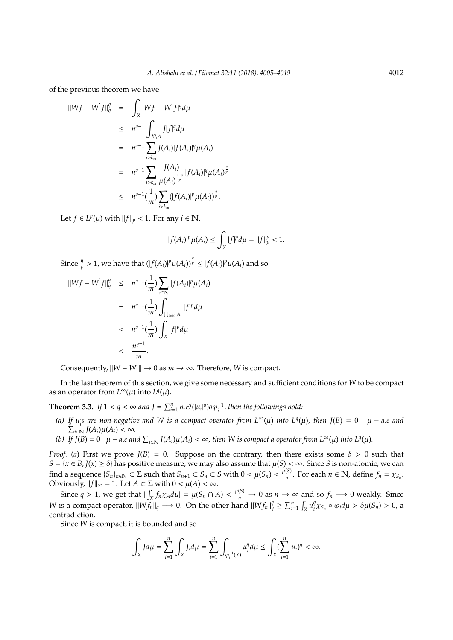of the previous theorem we have

$$
\|Wf - W'f\|_{q}^{q} = \int_{X} |Wf - W'f|^{q} d\mu
$$
  
\n
$$
\leq n^{q-1} \int_{X \setminus A} J|f|^{q} d\mu
$$
  
\n
$$
= n^{q-1} \sum_{i > k_m} J(A_i)|f(A_i)|^{q} \mu(A_i)
$$
  
\n
$$
= n^{q-1} \sum_{i > k_m} \frac{J(A_i)}{\mu(A_i)^{\frac{q-p}{p}}} |f(A_i)|^{q} \mu(A_i)
$$
  
\n
$$
\leq n^{q-1} (\frac{1}{m}) \sum_{i > k_m} (|f(A_i)|^{p} \mu(A_i))^{\frac{q}{p}}.
$$

Let *f*  $\in$  *L<sup>p</sup>*( $\mu$ ) with  $||f||_p$  < 1. For any *i*  $\in$  N,

$$
|f(A_i)|^p \mu(A_i) \le \int_X |f|^p d\mu = ||f||_p^p < 1.
$$

*q p*

Since  $\frac{q}{p} > 1$ , we have that  $(|f(A_i)|^p \mu(A_i))^{\frac{q}{p}} \leq |f(A_i)|^p \mu(A_i)$  and so

$$
\|Wf - W'f\|_{q}^{q} \leq n^{q-1}(\frac{1}{m}) \sum_{i \in \mathbb{N}} |f(A_{i})|^{p} \mu(A_{i})
$$
  

$$
= n^{q-1}(\frac{1}{m}) \int_{\bigcup_{i \in \mathbb{N}} A_{i}} |f|^{p} d\mu
$$
  

$$
< n^{q-1}(\frac{1}{m}) \int_{X} |f|^{p} d\mu
$$
  

$$
< \frac{n^{q-1}}{m}.
$$

Consequently,  $\|W - W\| \to 0$  as  $m \to \infty$ . Therefore, *W* is compact.

In the last theorem of this section, we give some necessary and sufficient conditions for *W* to be compact as an operator from  $L^{\infty}(\mu)$  into  $L^{q}(\mu)$ .

**Theorem 3.3.** *If*  $1 < q < \infty$  and  $J = \sum_{i=1}^{n} h_i E^i(|u_i|^q) o \varphi_i^{-1}$ , then the followings hold:

- *(a)* If  $u_i$  are non-negative and W is a compact operator from  $L^{\infty}(\mu)$  into  $L^q(\mu)$ , then  $J(B) = 0$   $\mu a.e$  and  $\sum_{i\in\mathbb{N}}^{\infty} J(A_i)\mu(A_i) < \infty$ .
- *(b)* If  $\overline{J(B)} = 0$   $\mu a.e$  and  $\sum_{i \in \mathbb{N}} J(A_i) \mu(A_i) < \infty$ , then W is compact a operator from  $L^{\infty}(\mu)$  into  $L^q(\mu)$ .

*Proof.* (*a*) First we prove  $J(B) = 0$ . Suppose on the contrary, then there exists some  $\delta > 0$  such that *S* = {*x* ∈ *B*; *J*(*x*) ≥ *δ*} has positive measure, we may also assume that  $\mu$ (*S*) < ∞. Since *S* is non-atomic, we can find a sequence  $\{S_n\}_{n\in\mathbb{N}}\subset\Sigma$  such that  $S_{n+1}\subset S_n\subset S$  with  $0<\mu(S_n)<\frac{\mu(S)}{n}$  $\frac{(S)}{n}$ . For each  $n \in \mathbb{N}$ , define  $f_n = \chi_{S_n}$ . Obviously,  $||f||_{\infty} = 1$ . Let  $A \subset \Sigma$  with  $0 < \mu(A) < \infty$ .

Since  $q > 1$ , we get that  $|\int_X f_n \chi_A d\mu| = \mu(S_n \cap A) < \frac{\mu(S)}{n} \to 0$  as  $n \to \infty$  and so  $f_n \to 0$  weakly. Since *W* is a compact operator,  $||Wf_n||_q \longrightarrow 0$ . On the other hand  $||Wf_n||_q^q \ge \sum_{i=1}^n \int_X u_i^q$ <sup>*q*</sup><sub>*i*</sub>χ<sub>S<sub>*n*</sub></sub> ◦  $\varphi$ <sub>*i</sub>d* $\mu > δ\mu(S_n) > 0$ , a</sub> contradiction.

Since *W* is compact, it is bounded and so

$$
\int_X J d\mu = \sum_{i=1}^n \int_X J_i d\mu = \sum_{i=1}^n \int_{\varphi_i^{-1}(X)} u_i^q d\mu \le \int_X (\sum_{i=1}^n u_i)^q < \infty.
$$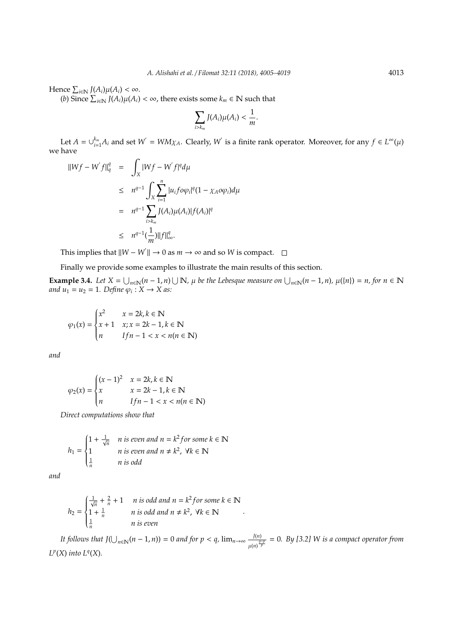Hence 
$$
\sum_{i\in\mathbb{N}} J(A_i)\mu(A_i) < \infty
$$
.

 $(b)$  Since  $\sum_{i \in \mathbb{N}} J(A_i) \mu(A_i) < \infty$ , there exists some  $k_m$  ∈  $\mathbb N$  such that

$$
\sum_{i>k_m} J(A_i)\mu(A_i) < \frac{1}{m}.
$$

Let  $A = \bigcup_{i=1}^{k_m} A_i$  and set  $W' = WM\chi_A$ . Clearly,  $W'$  is a finite rank operator. Moreover, for any  $f \in L^{\infty}(\mu)$ we have

$$
\|Wf - W'f\|_{q}^{q} = \int_{X} |Wf - W'f|^{q} d\mu
$$
  
\n
$$
\leq n^{q-1} \int_{X} \sum_{i=1}^{n} |u_{i}f o\varphi_{i}|^{q} (1 - \chi_{A}o\varphi_{i}) d\mu
$$
  
\n
$$
= n^{q-1} \sum_{i > k_{m}} J(A_{i}) \mu(A_{i}) |f(A_{i})|^{q}
$$
  
\n
$$
\leq n^{q-1} (\frac{1}{m}) \|f\|_{\infty}^{q}.
$$

This implies that  $||W - W|| \to 0$  as  $m \to \infty$  and so *W* is compact.

Finally we provide some examples to illustrate the main results of this section.

**Example 3.4.** Let  $X = \bigcup_{n \in \mathbb{N}} (n-1,n) \cup \mathbb{N}$ ,  $\mu$  be the Lebesque measure on  $\bigcup_{n \in \mathbb{N}} (n-1,n)$ ,  $\mu({n}) = n$ , for  $n \in \mathbb{N}$ *and*  $u_1 = u_2 = 1$ *. Define*  $\varphi_i : X \to X$  *as:* 

$$
\varphi_1(x) = \begin{cases} x^2 & x = 2k, k \in \mathbb{N} \\ x + 1 & x; x = 2k - 1, k \in \mathbb{N} \\ n & \text{If } n - 1 < x < n(n \in \mathbb{N}) \end{cases}
$$

*and*

$$
\varphi_2(x) = \begin{cases}\n(x-1)^2 & x = 2k, k \in \mathbb{N} \\
x & x = 2k - 1, k \in \mathbb{N} \\
n & If n - 1 < x < n(n \in \mathbb{N})\n\end{cases}
$$

*Direct computations show that*

$$
h_1 = \begin{cases} 1 + \frac{1}{\sqrt{n}} & n \text{ is even and } n = k^2 for some k \in \mathbb{N} \\ 1 & n \text{ is even and } n \neq k^2, \forall k \in \mathbb{N} \\ \frac{1}{n} & n \text{ is odd} \end{cases}
$$

*and*

$$
h_2 = \begin{cases} \frac{1}{\sqrt{n}} + \frac{2}{n} + 1 & n \text{ is odd and } n = k^2 \text{ for some } k \in \mathbb{N} \\ 1 + \frac{1}{n} & n \text{ is odd and } n \neq k^2, \forall k \in \mathbb{N} \\ \frac{1}{n} & n \text{ is even} \end{cases}
$$

*It follows that*  $J(\bigcup_{n\in\mathbb{N}} (n-1,n)) = 0$  *and for*  $p < q$ ,  $\lim_{n\to\infty} \frac{J(n)}{q}$ µ(*n*) *q*−*p p* = 0*. By [3.2] W is a compact operator from*  $L^p(X)$  *into*  $L^q(X)$ *.* 

.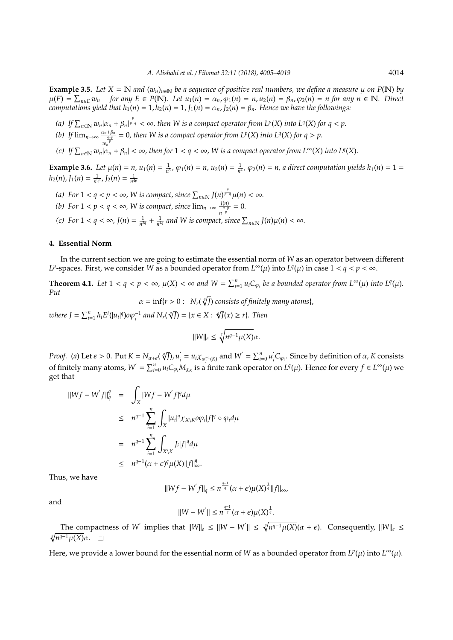**Example 3.5.** *Let*  $X = \mathbb{N}$  *and*  $(w_n)_{n \in \mathbb{N}}$  *be a sequence of positive real numbers, we define a measure*  $\mu$  *on*  $P(\mathbb{N})$  *by*  $\mu(E) = \sum_{n \in E} w_n$  for any  $E \in P(\mathbb{N})$ . Let  $u_1(n) = \alpha_n$ ,  $\varphi_1(n) = n$ ,  $u_2(n) = \beta_n$ ,  $\varphi_2(n) = n$  for any  $n \in \mathbb{N}$ . Direct *computations yield that*  $h_1(n) = 1$ *,*  $h_2(n) = 1$ *,*  $J_1(n) = \alpha_n$ *,*  $J_2(n) = \beta_n$ *. Hence we have the followings:* 

- *(a)* If  $\sum_{n \in \mathbb{N}} w_n |a_n + \beta_n| \frac{p}{p-q} < \infty$ , then W is a compact operator from  $L^p(X)$  into  $L^q(X)$  for  $q < p$ .
- *(b)* If  $\lim_{n\to\infty} \frac{\alpha_n + \beta_n}{\frac{q-p}{n}}$  $\frac{q_{\frac{p}{p}}}{p}$  = 0, then W is a compact operator from L<sup>*p*</sup>(*X*) into L<sup>*q*</sup>(*X*) for  $q > p$ .
- *(c)* If  $\sum_{n\in\mathbb{N}} w_n |\alpha_n + \beta_n| < \infty$ , then for  $1 < q < \infty$ , W is a compact operator from  $L^{\infty}(X)$  into  $L^q(X)$ .

**Example 3.6.** Let  $\mu(n) = n$ ,  $u_1(n) = \frac{1}{n^3}$ ,  $\varphi_1(n) = n$ ,  $u_2(n) = \frac{1}{n^4}$ ,  $\varphi_2(n) = n$ , a direct computation yields  $h_1(n) = 1$  $h_2(n)$ ,  $J_1(n) = \frac{1}{n^{3p}}$ ,  $J_2(n) = \frac{1}{n^{4p}}$ 

- *(a)* For  $1 < q < p < \infty$ , W is compact, since  $\sum_{n \in \mathbb{N}} J(n)^{\frac{p}{p-q}} \mu(n) < \infty$ .
- *(b)* For  $1 < p < q < \infty$ , W is compact, since  $\lim_{n \to \infty} \frac{J(n)}{q-p}$  $\frac{f(n)}{n^{\frac{q-p}{p}}} = 0.$
- *(c)* For  $1 < q < \infty$ ,  $J(n) = \frac{1}{n^{3q}} + \frac{1}{n^{4q}}$  and W is compact, since  $\sum_{n \in \mathbb{N}} J(n) \mu(n) < \infty$ .

### **4. Essential Norm**

*w*

In the current section we are going to estimate the essential norm of *W* as an operator between different *L*<sup>*p*</sup>-spaces. First, we consider *W* as a bounded operator from  $L^{\infty}(\mu)$  into  $L^{q}(\mu)$  in case  $1 < q < p < \infty$ .

**Theorem 4.1.** Let  $1 < q < p < \infty$ ,  $\mu(X) < \infty$  and  $W = \sum_{i=1}^{n} u_i C_{\varphi_i}$  be a bounded operator from  $L^{\infty}(\mu)$  into  $L^{q}(\mu)$ . *Put*

 $\alpha = \inf\{r > 0: \; \; N_r(\sqrt[q]{J}) \text{ consists of finitely many atoms}\},$ 

where  $J = \sum_{i=1}^{n} h_i E^{i}(|u_i|^q) o \varphi_i^{-1}$  and  $N_r(\sqrt[q]{J}) = \{x \in X : \sqrt[q]{J}(x) \ge r\}$ . Then

$$
||W||_e \le \sqrt[q]{n^{q-1}\mu(X)}\alpha.
$$

*Proof.* (*a*) Let  $\epsilon > 0$ . Put  $K = N_{\alpha + \epsilon}(\sqrt[q]{J})$ ,  $u'_i$  $\sum_{i=0}^{n} u_i \chi_{\varphi_i^{-1}(K)}$  and  $W' = \sum_{i=0}^{n} u'_i$  $\int_{i}^{t} C_{\varphi_i}$ . Since by definition of  $\alpha$ , *K* consists of finitely many atoms,  $W' = \sum_{i=0}^{n} u_i C_{\varphi_i} M_{\chi_K}$  is a finite rank operator on  $L^q(\mu)$ . Hence for every  $f \in L^{\infty}(\mu)$  we get that

$$
\|Wf - W'f\|_{q}^{q} = \int_{X} |Wf - W'f|^{q} d\mu
$$
  
\n
$$
\leq n^{q-1} \sum_{i=1}^{n} \int_{X} |u_{i}|^{q} \chi_{X \setminus K} o \varphi_{i} |f|^{q} \circ \varphi_{i} d\mu
$$
  
\n
$$
= n^{q-1} \sum_{i=1}^{n} \int_{X \setminus K} J_{i} |f|^{q} d\mu
$$
  
\n
$$
\leq n^{q-1} (\alpha + \epsilon)^{q} \mu(X) ||f||_{\infty}^{q}.
$$

Thus, we have

$$
\|Wf - W'f\|_q \le n^{\frac{q-1}{q}}(\alpha + \epsilon) \mu(X)^{\frac{1}{q}} \|f\|_{\infty},
$$

and

$$
||W - W^{'}|| \leq n^{\frac{q-1}{q}}(\alpha + \epsilon) \mu(X)^{\frac{1}{q}}.
$$

The compactness of *W*<sup>'</sup> implies that  $||W||_e \le ||W - W'|| \le \sqrt[q]{n^{q-1}\mu(X)}(\alpha + \epsilon)$ . Consequently,  $||W||_e \le$ *q* p *n <sup>q</sup>*−<sup>1</sup>µ(*X*)α.

Here, we provide a lower bound for the essential norm of *W* as a bounded operator from  $L^p(\mu)$  into  $L^{\infty}(\mu)$ .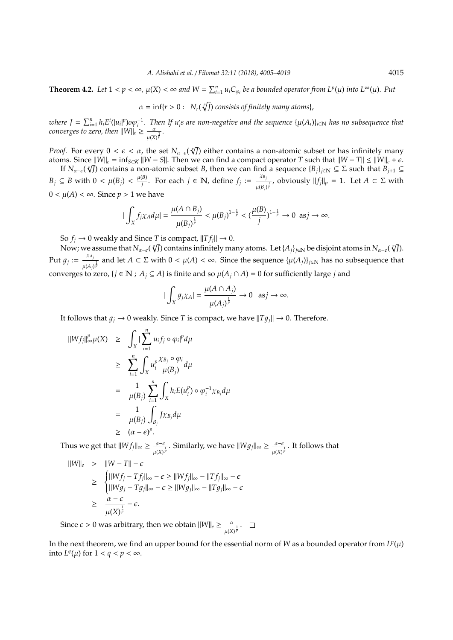**Theorem 4.2.** Let  $1 < p < \infty$ ,  $\mu(X) < \infty$  and  $W = \sum_{i=1}^{n} u_i C_{\varphi_i}$  be a bounded operator from  $L^p(\mu)$  into  $L^{\infty}(\mu)$ . Put

$$
\alpha = \inf\{r > 0: N_r(\sqrt[p]{r}) \text{ consists of finitely many atoms}\},\
$$

where  $J = \sum_{i=1}^{n} h_i E^i(|u_i|^p) o \varphi_i^{-1}$ . Then If  $u_i$ 's are non-negative and the sequence  $\{\mu(A_i)\}_{i \in \mathbb{N}}$  has no subsequence that *converges to zero, then*  $||W||_e \geq \frac{a}{\sqrt{2a}}$  $\frac{\alpha}{\mu(X)^{\frac{1}{p}}}.$ 

*Proof.* For every  $0 < \epsilon < \alpha$ , the set  $N_{\alpha-\epsilon}(\sqrt[n]{J})$  either contains a non-atomic subset or has infinitely many atoms. Since  $\|\dot{W}\|_{e} = \inf_{S \in \mathcal{K}} \|W - S\|$ . Then we can find a compact operator *T* such that  $\|W - T\| \le \|\dot{W}\|_{e} + \epsilon$ .

If  $N_{\alpha-\epsilon}(\sqrt[\ell]{J})$  contains a non-atomic subset *B*, then we can find a sequence  $\{B_j\}_{j\in\mathbb{N}}\subseteq\Sigma$  such that  $B_{j+1}\subseteq S$ *B*<sup>*j*</sup> ⊆ *B* with 0 <  $\mu(B_j)$  <  $\frac{\mu(B)}{j}$ *g*<sup>*j*</sup>. For each *j* ∈ **N**, define *f<sub>j</sub>* :=  $\frac{X_{B_j}}{I(P)}$  $\frac{AB_j}{\mu(B_j)^{\frac{1}{p}}}$ , obviously  $||f_j||_p = 1$ . Let  $A \subset \Sigma$  with 0 < µ(*A*) < ∞. Since *p* > 1 we have

$$
|\int_X f_j \chi_A d\mu| = \frac{\mu(A \cap B_j)}{\mu(B_j)^{\frac{1}{p}}} < \mu(B_j)^{1-\frac{1}{p}} < (\frac{\mu(B)}{j})^{1-\frac{1}{p}} \to 0 \text{ as } j \to \infty.
$$

So  $f_i \rightarrow 0$  weakly and Since *T* is compact,  $||T f_i|| \rightarrow 0$ .

 $\mathcal{S}$ ο *J*<sub>j</sub> → 0 weakly and 5ince *I* is compact, ||*I J<sub>j</sub>*|| → 0.<br>Now; we assume that *N*α−*€* (∛*J*) contains infinitely many atoms. Let {*A<sub>j</sub>*}<sub>j∈N</sub> be disjoint atoms in *Nα−ε* (∢/J). Put  $g_j := \frac{\chi_{A_j}}{\chi_{A_j}}$  $\frac{A}{\mu(A_j)}$  and let *A* ⊂ Σ with 0 <  $\mu(A)$  < ∞. Since the sequence { $\mu(A_j)$ }<sub>*j*∈N</sub> has no subsequence that converges to zero,  $\{j \in \mathbb{N} : A_j \subseteq A\}$  is finite and so  $\mu(A_j \cap A) = 0$  for sufficiently large *j* and

$$
|\int_X g_j \chi_A| = \frac{\mu(A \cap A_j)}{\mu(A_j)^{\frac{1}{p}}} \to 0 \text{ as } j \to \infty.
$$

It follows that  $g_j \to 0$  weakly. Since *T* is compact, we have  $||Tg_j|| \to 0$ . Therefore.

$$
\|Wf_j\|_{\infty}^p \mu(X) \ge \int_X |\sum_{i=1}^n u_i f_j \circ \varphi_i|^p d\mu
$$
  
\n
$$
\ge \sum_{i=1}^n \int_X u_i^p \frac{\chi_{B_j} \circ \varphi_i}{\mu(B_j)} d\mu
$$
  
\n
$$
= \frac{1}{\mu(B_j)} \sum_{i=1}^n \int_X h_i E(u_i^p) \circ \varphi_i^{-1} \chi_{B_j} d\mu
$$
  
\n
$$
= \frac{1}{\mu(B_j)} \int_{B_j} J \chi_{B_j} d\mu
$$
  
\n
$$
\ge (\alpha - \epsilon)^p.
$$

Thus we get that  $||W f_j||_{\infty} \ge \frac{\alpha - \epsilon}{\alpha}$  $\frac{\alpha-\epsilon}{\mu(X)^{\frac{1}{p}}}$ . Similarly, we have  $||Wg_j||_{\infty} \ge \frac{\alpha-\epsilon}{\mu(X)}$  $\frac{\alpha-\epsilon}{\mu(X)^{\frac{1}{p}}}$ . It follows that

$$
||W||_{\epsilon} > ||W - T|| - \epsilon
$$
  
\n
$$
\geq \begin{cases} ||Wf_j - Tf_j||_{\infty} - \epsilon \geq ||Wf_j||_{\infty} - ||Tf_j||_{\infty} - \epsilon \\ ||Wg_j - Tg_j||_{\infty} - \epsilon \geq ||Wg_j||_{\infty} - ||Tg_j||_{\infty} - \epsilon \\ \geq \frac{\alpha - \epsilon}{\mu(X)^{\frac{1}{p}}} - \epsilon. \end{cases}
$$

Since  $\epsilon > 0$  was arbitrary, then we obtain  $||W||_{\epsilon} \geq \frac{a}{\sqrt{2\pi}}$  $\frac{\alpha}{\mu(X)^{\frac{1}{p}}}.$ 

In the next theorem, we find an upper bound for the essential norm of *W* as a bounded operator from  $L^p(\mu)$ into  $L^q(\mu)$  for  $1 < q < p < \infty$ .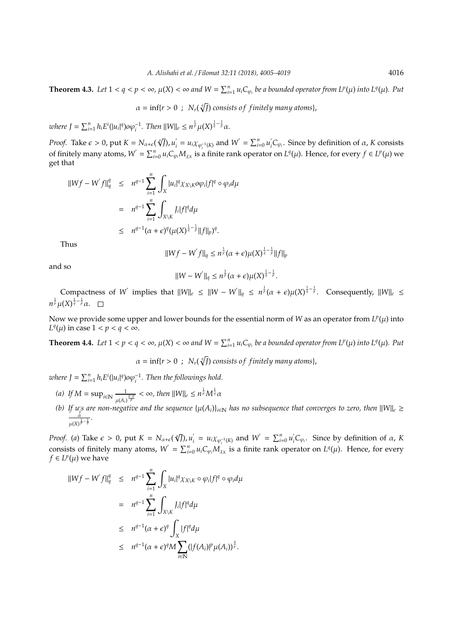**Theorem 4.3.** Let  $1 < q < p < \infty$ ,  $\mu(X) < \infty$  and  $W = \sum_{i=1}^n u_i C_{\varphi_i}$  be a bounded operator from  $L^p(\mu)$  into  $L^q(\mu)$ . Put

 $\alpha = \inf\{r > 0 \; : \; N_r(\sqrt[q]{J}) \text{ consists of finitely many atoms}\},$ 

where  $J = \sum_{i=1}^{n} h_i E^{i}(|u_i|^q) o \varphi_i^{-1}$ . Then  $||W||_e \leq n^{\frac{1}{p}} \mu(X)^{\frac{1}{q} - \frac{1}{p}} \alpha$ .

*Proof.* Take  $\epsilon > 0$ , put  $K = N_{\alpha+\epsilon}(\sqrt[q]{J})$ ,  $u'_i$  $\sum_{i=0}^{n} u_i \chi_{\varphi_i^{-1}(K)}$  and  $W' = \sum_{i=0}^{n} u'_i$ of finitely many atoms,  $W' = \sum_{i=0}^{n} u_i C_{\varphi_i} M_{\chi_K}$  is a finite rank operator on  $L^q(\mu)$ . Hence, for every  $f \in L^p(\mu)$  we  $\int_{i}^{t} C_{\varphi_i}$ . Since by definition of *α*, *K* consists get that

$$
\|Wf - W'f\|_{q}^{q} \leq n^{q-1} \sum_{i=1}^{n} \int_{X} |u_{i}|^{q} \chi_{X \setminus K} o\varphi_{i}|f|^{q} \circ \varphi_{i} d\mu
$$
  

$$
= n^{q-1} \sum_{i=1}^{n} \int_{X \setminus K} J_{i}|f|^{q} d\mu
$$
  

$$
\leq n^{q-1} (\alpha + \epsilon)^{q} (\mu(X)^{\frac{1}{q} - \frac{1}{p}} ||f||_{p})^{q}.
$$

Thus

$$
||Wf - W^{'}f||_{q} \leq n^{\frac{1}{p}}(\alpha + \epsilon)\mu(X)^{\frac{1}{q} - \frac{1}{p}}||f||_{p}
$$

and so

$$
||W - W^{'}||_{q} \leq n^{\frac{1}{p}}(\alpha + \epsilon)\mu(X)^{\frac{1}{q} - \frac{1}{p}}.
$$

 $\text{Comparness of } W' \text{ implies that } ||W||_e \leq ||W - W'||_q \leq n^{\frac{1}{p}}(\alpha + \epsilon) \mu(X)^{\frac{1}{q} - \frac{1}{p}}.$  Consequently,  $||W||_e \leq$  $n^{\frac{1}{p}}\mu(X)^{\frac{1}{q}-\frac{1}{p}}\alpha.$ 

Now we provide some upper and lower bounds for the essential norm of W as an operator from  $L^p(\mu)$  into *L*<sup>q</sup>( $\mu$ ) in case 1 < *p* < *q* <  $\infty$ .

**Theorem 4.4.** Let  $1 < p < q < \infty$ ,  $\mu(X) < \infty$  and  $W = \sum_{i=1}^{n} u_i C_{\varphi_i}$  be a bounded operator from  $L^p(\mu)$  into  $L^q(\mu)$ . Put

 $\alpha = \inf\{r > 0 \; : \; N_r(\sqrt[q]{J}) \text{ consists of finitely many atoms}\},$ 

*where*  $J = \sum_{i=1}^{n} h_i E^i(|u_i|^q) o \varphi_i^{-1}$ . Then the followings hold.

- (*a*) If  $M = \sup_{i \in \mathbb{N}} \frac{1}{n}$  $\frac{1}{\mu(A_i)^{\frac{q-p}{p}}} < \infty$ , then  $\|W\|_e \leq n^{\frac{1}{p}}M^{\frac{1}{q}}\alpha$
- *(b)* If  $u_j$  are non-negative and the sequence  $\{\mu(A_i)\}_{i\in\mathbb{N}}$  has no subsequence that converges to zero, then  $\|W\|_e \ge$ <u>ά</u>  $\frac{\alpha}{\mu(X)^{\frac{1}{p}-\frac{1}{q}}}.$

*Proof.* (*a*) Take  $\epsilon > 0$ , put  $K = N_{\alpha+\epsilon}(\sqrt[q]{J})$ ,  $u'_i$  $\sum_{i=0}^{n} u_i \chi_{\varphi_i^{-1}(K)}$  and  $W' = \sum_{i=0}^{n} u'_i$ consists of finitely many atoms,  $W' = \sum_{i=0}^{n} u_i C_{\varphi_i} M_{\chi_K}$  is a finite rank operator on  $L^q(\mu)$ . Hence, for every  $\int_{i}^{T} C_{\varphi_i}$ . Since by definition of *α*, *K*  $f ∈ L<sup>p</sup>(μ)$  we have

$$
\|Wf - W'f\|_{q}^{q} \leq n^{q-1} \sum_{i=1}^{n} \int_{X} |u_{i}|^{q} \chi_{X \setminus K} \circ \varphi_{i}|f|^{q} \circ \varphi_{i} d\mu
$$
  

$$
= n^{q-1} \sum_{i=1}^{n} \int_{X \setminus K} J_{i}|f|^{q} d\mu
$$
  

$$
\leq n^{q-1} (\alpha + \epsilon)^{q} \int_{X} |f|^{q} d\mu
$$
  

$$
\leq n^{q-1} (\alpha + \epsilon)^{q} M \sum_{i \in \mathbb{N}} (|f(A_{i})|^{p} \mu(A_{i}))^{\frac{q}{p}}.
$$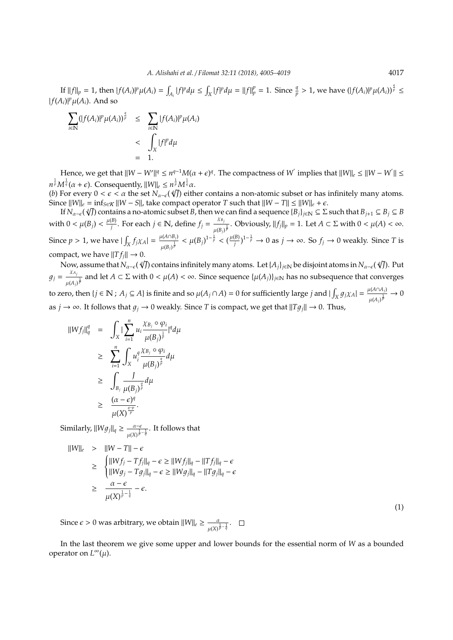If  $||f||_p = 1$ , then  $|f(A_i)|^p \mu(A_i) = \int_{A_i} |f|^p d\mu \le \int_X |f|^p d\mu = ||f||_p^p = 1$ . Since  $\frac{q}{p} > 1$ , we have  $(|f(A_i)|^p \mu(A_i))^{\frac{q}{p}} \le$  $|f(A_i)|^p \mu(A_i)$ . And so

$$
\sum_{i\in\mathbb{N}}(|f(A_i)|^p\mu(A_i))^{\frac{q}{p}} \leq \sum_{i\in\mathbb{N}}|f(A_i)|^p\mu(A_i)
$$
  
< 
$$
< \int_X|f|^p d\mu
$$
  

$$
= 1.
$$

Hence, we get that  $\|W - W'\|^q \le n^{q-1}M(\alpha + \epsilon)^q$ . The compactness of  $W^{'}$  implies that  $\|W\|_{\epsilon} \le \|W - W^{'}\| \le$  $n^{\frac{1}{p}} M^{\frac{1}{q}}(\alpha + \epsilon)$ . Consequently,  $||W||_e \leq n^{\frac{1}{p}} M^{\frac{1}{q}} \alpha$ .<br>(b) For event  $0 \leq \epsilon \leq \alpha$  the set  $N_e$ . (*s*/*h*) eith

(*b*) For every  $0 < \epsilon < \alpha$  the set  $N_{\alpha-\epsilon}(\sqrt[q]{J})$  either contains a non-atomic subset or has infinitely many atoms. Since  $\|W\|_{e} = \inf_{S \in \mathcal{K}} \|W - S\|$ , take compact operator *T* such that  $\|W - T\| \le \|W\|_{e} + \epsilon$ .

If  $N_{\alpha-\epsilon}(\sqrt[g]{J})$  contains a no-atomic subset *B*, then we can find a sequence  $\{B_j\}_{j\in\mathbb{N}}\subseteq \Sigma$  such that  $B_{j+1}\subseteq B_j\subseteq B$ with  $0 < \mu(B_j) < \frac{\mu(B)}{j}$ *z*<sup>*B*</sup></sup>). For each *j* ∈ **N**, define  $f_j = \frac{X_{B_j}}{I_{j} (B_j)}$  $\frac{AB_j}{\mu(B_j)^{\frac{1}{p}}}$ . Obviously,  $||f_j||_p = 1$ . Let  $A \subset \Sigma$  with  $0 < \mu(A) < \infty$ . Since  $p > 1$ , we have  $|\int_X f_j \chi_A| = \frac{\mu(A \cap B_j)}{\mu(B_j)^{\frac{1}{p}}}$  $\frac{\mu(A \cap B_j)}{\mu(B_j)^{\frac{1}{p}}} < \mu(B_j)^{1-\frac{1}{p}} < (\frac{\mu(B_j)}{j})$  $\left(\frac{B}{j}\right)^{1-\frac{1}{p}}$  → 0 as *j* → ∞. So *f<sub>j</sub>* → 0 weakly. Since *T* is compact, we have  $||T f_i|| \rightarrow 0$ .

npact, we nave <sub>||17;||</sub> → 0.<br>Now, assume that *N<sub>α−€</sub> (∜]*) contains infinitely many atoms. Let {*A<sub>j</sub>*}<sub>j∈N</sub> be disjoint atoms in *N<sub>α−ε</sub> (∜]*). Put  $g_j = \frac{\chi_{A_j}}{\chi_{A_j}}$  $\frac{XA_j}{\mu(A_j)^{\frac{1}{p}}}$  and let *A* ⊂ Σ with 0 <  $\mu(A)$  < ∞. Since sequence { $\mu(A_j)$ }<sub>j∈N</sub> has no subsequence that converges to zero, then  $\{j \in \mathbb{N} : A_j \subseteq A\}$  is finite and so  $\mu(A_j \cap A) = 0$  for sufficiently large *j* and  $|\int_X g_j \chi_A| = \frac{\mu(A \cap A_j)}{\mu(A \cap \overline{B})}$  $\frac{\mu(A \cap A_j)}{\mu(A_j)^{\frac{1}{p}}} \to 0$ as *j*  $\rightarrow \infty$ . It follows that  $g_i \rightarrow 0$  weakly. Since *T* is compact, we get that  $||Tg_i|| \rightarrow 0$ . Thus,

$$
\begin{array}{rcl} \|\boldsymbol{W}f_j\|_q^q & = & \displaystyle\int_{\boldsymbol{X}}|\sum_{i=1}^nu_i\frac{\chi_{B_j}\circ\varphi_i}{\mu(B_j)^{\frac{1}{p}}}|^q d\mu \\ \\ & \geq & \displaystyle\sum_{i=1}^n\int_{\boldsymbol{X}}u_i^q\frac{\chi_{B_j}\circ\varphi_i}{\mu(B_j)^{\frac{q}{p}}}d\mu \\ \\ & \geq & \displaystyle\int_{B_j}\frac{J}{\mu(B_j)^{\frac{q}{p}}}d\mu \\ \\ & \geq & \displaystyle\frac{(\alpha-\epsilon)^q}{\mu(\boldsymbol{X})^{\frac{q-p}{p}}}. \end{array}
$$

Similarly,  $||Wg_j||_q \geq \frac{a-\epsilon}{\sqrt{n}}$  $\frac{\alpha-\epsilon}{\mu(X)^{\frac{1}{p}-\frac{1}{q}}}$ . It follows that

$$
||W||_{e} > ||W - T|| - \epsilon
$$
  
\n
$$
\geq \begin{cases} ||Wf_{j} - Tf_{j}||_{q} - \epsilon \geq ||Wf_{j}||_{q} - ||Tf_{j}||_{q} - \epsilon \\ ||Wg_{j} - Tg_{j}||_{q} - \epsilon \geq ||Wg_{j}||_{q} - ||Tg_{j}||_{q} - \epsilon \\ \geq \frac{\alpha - \epsilon}{\mu(X)^{\frac{1}{p} - \frac{1}{q}}} - \epsilon. \end{cases}
$$

Since  $\epsilon > 0$  was arbitrary, we obtain  $||W||_{e} \ge \frac{a}{\sqrt{2\pi}}$  $\frac{\alpha}{\mu(X)^{\frac{1}{p}-\frac{1}{q}}}.$ 

In the last theorem we give some upper and lower bounds for the essential norm of *W* as a bounded operator on *L* <sup>∞</sup>(µ).

(1)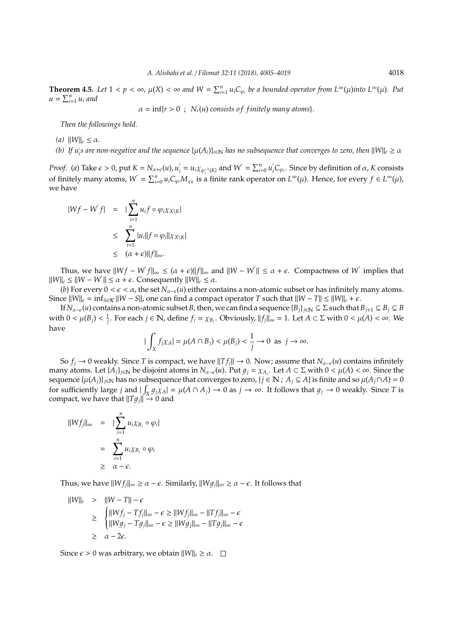**Theorem 4.5.** Let  $1 < p < \infty$ ,  $\mu(X) < \infty$  and  $W = \sum_{i=1}^{n} u_i C_{\varphi_i}$  be a bounded operator from  $L^{\infty}(\mu)$  into  $L^{\infty}(\mu)$ . Put  $u = \sum_{i=1}^n u_i$  and

 $\alpha = \inf\{r > 0$ ;  $N_r(u)$  consists of finitely many atoms}.

*Then the followings hold.*

- *(a)*  $||W||_e \leq \alpha$ *.*
- (b) If  $u_i$ s are non-negative and the sequence  $\{\mu(A_i)\}_{i\in\mathbb{N}}$  has no subsequence that converges to zero, then  $\|W\|_e\geq\alpha$

*Proof.* (*a*) Take  $\epsilon > 0$ , put  $K = N_{\alpha+\epsilon}(u)$ ,  $u'_i$  $\sum_{i=1}^{n} u_i \chi_{\varphi_i^{-1}(K)}$  and  $W' = \sum_{i=0}^{n} u'_i$ of finitely many atoms,  $W' = \sum_{i=0}^{n} u_i C_{\varphi_i} M_{\chi_K}$  is a finite rank operator on  $L^{\infty}(\mu)$ . Hence, for every  $f \in L^{\infty}(\mu)$ ,  $\int_{i}^{T} C_{\varphi_i}$ . Since by definition of  $\alpha$ , *K* consists we have

$$
|Wf - W'f| = |\sum_{i=1}^{n} u_i f \circ \varphi_i \chi_{X \setminus K}|
$$
  

$$
\leq \sum_{i=1}^{n} |u_i||f \circ \varphi_i||\chi_{X \setminus K}|
$$
  

$$
\leq (\alpha + \epsilon) ||f||_{\infty}.
$$

Thus, we have  $||Wf - W'f||_{\infty} \leq (\alpha + \epsilon) ||f||_{\infty}$  and  $||W - W'|| \leq \alpha + \epsilon$ . Compactness of *W* implies that  $||W||_e \le ||W - W'|| \le \alpha + \epsilon$ . Consequently  $||W||_e \le \alpha$ .

(*b*) For every  $0 < \epsilon < \alpha$ , the set  $N_{\alpha-\epsilon}(u)$  either contains a non-atomic subset or has infinitely many atoms. Since  $||W||_e = inf_{S \in K}$   $||W - S||$ , one can find a compact operator *T* such that  $||W - T|| ≤ ||W||_e + ε$ .

If  $N_{\alpha-\epsilon}(u)$  contains a non-atomic subset *B*, then, we can find a sequence  $\{B_j\}_{j\in\mathbb{N}}\subseteq\Sigma$  such that  $B_{j+1}\subseteq B_j\subseteq B$ with  $0 < \mu(B_j) < \frac{1}{j}$ . For each  $j \in \mathbb{N}$ , define  $f_j = \chi_{B_j}$ . Obviously,  $||f_j||_{\infty} = 1$ . Let  $A \subset \Sigma$  with  $0 < \mu(A) < \infty$ . We have

$$
|\int_X f_j \chi_A| = \mu(A \cap B_j) < \mu(B_j) < \frac{1}{j} \to 0 \text{ as } j \to \infty.
$$

So  $f_i \to 0$  weakly. Since *T* is compact, we have  $||Tf_i|| \to 0$ . Now; assume that  $N_{\alpha-\epsilon}(u)$  contains infinitely many atoms. Let  $\{A_j\}_{j\in\mathbb{N}}$  be disjoint atoms in  $N_{\alpha-\epsilon}(u)$ . Put  $g_j = \chi_{A_j}$ . Let  $A \subset \Sigma$  with  $0 < \mu(A) < \infty$ . Since the sequence  $\{\mu(A_j)\}_{j\in\mathbb{N}}$  has no subsequence that converges to zero,  $\{j\in\mathbb{N} : A_j\subseteq A\}$  is finite and so  $\mu(A_j\cap A) = 0$ for sufficiently large *j* and  $|\int_X g_j \chi_A| = \mu(A \cap A_j) \to 0$  as  $j \to \infty$ . It follows that  $g_j \to 0$  weakly. Since *T* is compact, we have that  $||Tq_i|| \rightarrow 0$  and

$$
||Wf_j||_{\infty} = |\sum_{i=1}^{n} u_i \chi_{B_j} \circ \varphi_i|
$$
  
= 
$$
\sum_{i=1}^{n} u_i \chi_{B_j} \circ \varphi_i
$$
  

$$
\geq \alpha - \epsilon.
$$

Thus, we have  $||W f_j||_{\infty} \ge \alpha - \epsilon$ . Similarly,  $||W g_j||_{\infty} \ge \alpha - \epsilon$ . It follows that

$$
\begin{array}{rcl} ||W||_{e} > & ||W - T|| - \epsilon \\ & \geq & \begin{cases} ||Wf_{j} - Tf_{j}||_{\infty} - \epsilon \geq ||Wf_{j}||_{\infty} - ||Tf_{j}||_{\infty} - \epsilon \\ & ||Wg_{j} - Tg_{j}||_{\infty} - \epsilon \geq ||Wg_{j}||_{\infty} - ||Tg_{j}||_{\infty} - \epsilon \\ & \geq & \alpha - 2\epsilon. \end{cases} \end{array}
$$

Since  $\epsilon > 0$  was arbitrary, we obtain  $||W||_{\epsilon} \ge \alpha$ .  $\Box$